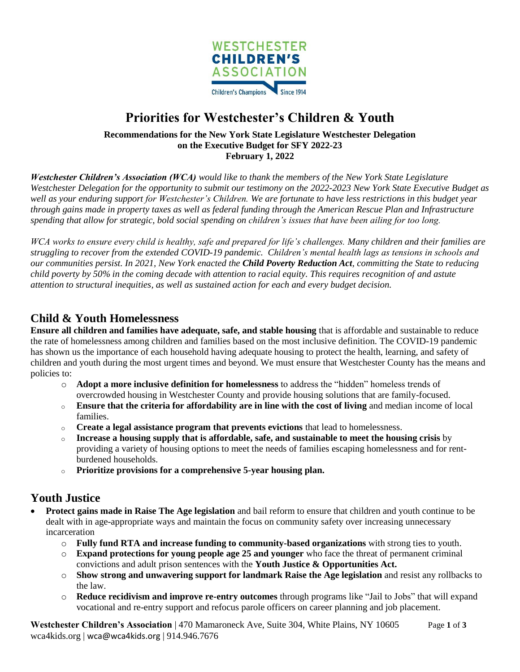

# **Priorities for Westchester's Children & Youth**

**Recommendations for the New York State Legislature Westchester Delegation on the Executive Budget for SFY 2022-23 February 1, 2022**

*Westchester Children's Association (WCA) would like to thank the members of the New York State Legislature Westchester Delegation for the opportunity to submit our testimony on the 2022-2023 New York State Executive Budget as well as your enduring support for Westchester's Children. We are fortunate to have less restrictions in this budget year through gains made in property taxes as well as federal funding through the American Rescue Plan and Infrastructure spending that allow for strategic, bold social spending on children's issues that have been ailing for too long.* 

*WCA works to ensure every child is healthy, safe and prepared for life's challenges. Many children and their families are struggling to recover from the extended COVID-19 pandemic. Children's mental health lags as tensions in schools and our communities persist. In 2021, New York enacted the Child Poverty Reduction Act, committing the State to reducing child poverty by 50% in the coming decade with attention to racial equity. This requires recognition of and astute attention to structural inequities, as well as sustained action for each and every budget decision.*

## **Child & Youth Homelessness**

**Ensure all children and families have adequate, safe, and stable housing** that is affordable and sustainable to reduce the rate of homelessness among children and families based on the most inclusive definition. The COVID-19 pandemic has shown us the importance of each household having adequate housing to protect the health, learning, and safety of children and youth during the most urgent times and beyond. We must ensure that Westchester County has the means and policies to:

- o **Adopt a more inclusive definition for homelessness** to address the "hidden" homeless trends of overcrowded housing in Westchester County and provide housing solutions that are family-focused.
- o **Ensure that the criteria for affordability are in line with the cost of living** and median income of local families.
- o **Create a legal assistance program that prevents evictions** that lead to homelessness.
- o **Increase a housing supply that is affordable, safe, and sustainable to meet the housing crisis** by providing a variety of housing options to meet the needs of families escaping homelessness and for rentburdened households.
- o **Prioritize provisions for a comprehensive 5-year housing plan.**

# **Youth Justice**

- **Protect gains made in Raise The Age legislation** and bail reform to ensure that children and youth continue to be dealt with in age-appropriate ways and maintain the focus on community safety over increasing unnecessary incarceration
	- o **Fully fund RTA and increase funding to community-based organizations** with strong ties to youth.
	- o **Expand protections for young people age 25 and younger** who face the threat of permanent criminal convictions and adult prison sentences with the **Youth Justice & Opportunities Act.**
	- o **Show strong and unwavering support for landmark Raise the Age legislation** and resist any rollbacks to the law.
	- o **Reduce recidivism and improve re-entry outcomes** through programs like "Jail to Jobs" that will expand vocational and re-entry support and refocus parole officers on career planning and job placement.

**Westchester Children's Association** | 470 Mamaroneck Ave, Suite 304, White Plains, NY 10605 Page **1** of **3** wca4kids.org | wca@wca4kids.org | 914.946.7676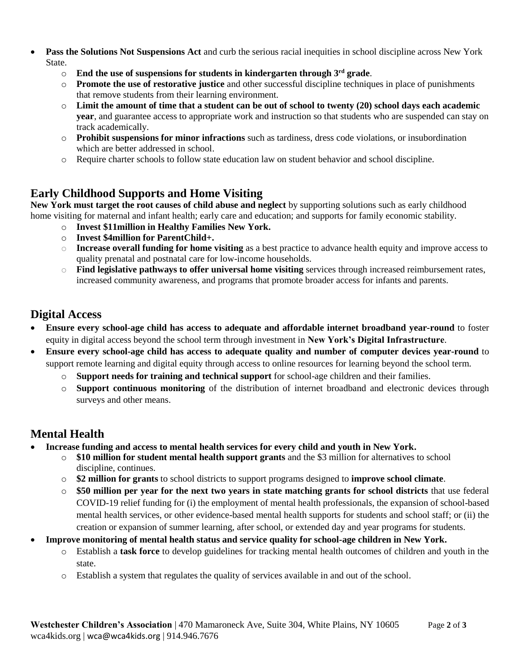- **Pass the Solutions Not Suspensions Act** and curb the serious racial inequities in school discipline across New York **State** 
	- o **End the use of suspensions for students in kindergarten through 3rd grade**.
	- o **Promote the use of restorative justice** and other successful discipline techniques in place of punishments that remove students from their learning environment.
	- o **Limit the amount of time that a student can be out of school to twenty (20) school days each academic year**, and guarantee access to appropriate work and instruction so that students who are suspended can stay on track academically.
	- o **Prohibit suspensions for minor infractions** such as tardiness, dress code violations, or insubordination which are better addressed in school.
	- o Require charter schools to follow state education law on student behavior and school discipline.

#### **Early Childhood Supports and Home Visiting**

**New York must target the root causes of child abuse and neglect** by supporting solutions such as early childhood home visiting for maternal and infant health; early care and education; and supports for family economic stability.

- o **Invest \$11million in Healthy Families New York.**
- o **Invest \$4million for ParentChild+.**
- o **Increase overall funding for home visiting** as a best practice to advance health equity and improve access to quality prenatal and postnatal care for low-income households.
- o **Find legislative pathways to offer universal home visiting** services through increased reimbursement rates, increased community awareness, and programs that promote broader access for infants and parents.

# **Digital Access**

- **Ensure every school-age child has access to adequate and affordable internet broadband year-round** to foster equity in digital access beyond the school term through investment in **New York's Digital Infrastructure**.
- **Ensure every school-age child has access to adequate quality and number of computer devices year-round** to support remote learning and digital equity through access to online resources for learning beyond the school term.
	- o **Support needs for training and technical support** for school-age children and their families.
	- o **Support continuous monitoring** of the distribution of internet broadband and electronic devices through surveys and other means.

#### **Mental Health**

- **Increase funding and access to mental health services for every child and youth in New York.**
	- o **\$10 million for student mental health support grants** and the \$3 million for alternatives to school discipline, continues.
	- o **\$2 million for grants** to school districts to support programs designed to **improve school climate**.
	- o **\$50 million per year for the next two years in state matching grants for school districts** that use federal COVID-19 relief funding for (i) the employment of mental health professionals, the expansion of school-based mental health services, or other evidence-based mental health supports for students and school staff; or (ii) the creation or expansion of summer learning, after school, or extended day and year programs for students.
- **Improve monitoring of mental health status and service quality for school-age children in New York.**
	- o Establish a **task force** to develop guidelines for tracking mental health outcomes of children and youth in the state.
	- o Establish a system that regulates the quality of services available in and out of the school.